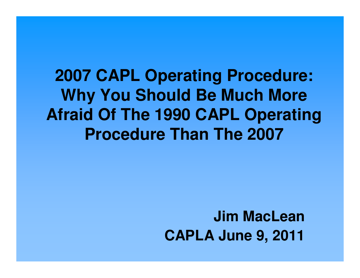**2007 CAPL Operating Procedure: Why You Should Be Much More Afraid Of The 1990 CAPL Operating Procedure Than The 2007**

> **Jim MacLeanCAPLA June 9, 2011**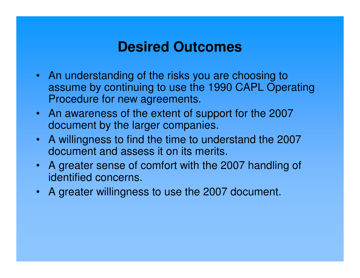### **Desired Outcomes**

- An understanding of the risks you are choosing to assume by continuing to use the 1990 CAPL Operating Procedure for new agreements.
- An awareness of the extent of support for the 2007 document by the larger companies.
- A willingness to find the time to understand the 2007document and assess it on its merits.
- A greater sense of comfort with the 2007 handling of identified concerns.
- A greater willingness to use the 2007 document.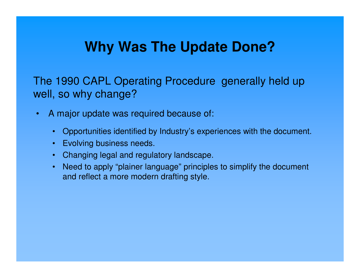## **Why Was The Update Done?**

The 1990 CAPL Operating Procedure generally held upwell, so why change?

- $\bullet$  A major update was required because of:
	- Opportunities identified by Industry's experiences with the document.
	- Evolving business needs.
	- Changing legal and regulatory landscape.
	- Need to apply "plainer language" principles to simplify the document and reflect a more modern drafting style.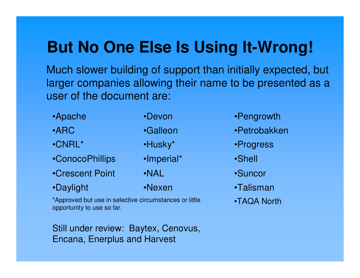# **But No One Else Is Using It-Wrong!**

Much slower building of support than initially expected, but larger companies allowing their name to be presented as a user of the document are:

- •Crescent Point •NAL•ConocoPhillips •Imperial\* •Shell •CNRL\*•ARC•Apache
- •Daylight

•Nexen

\*Approved but use in selective circumstances or little • • • • TAQA North opportunity to use so far.

Still under review: Baytex, Cenovus, Encana, Enerplus and Harvest

•Devon •Pengrowth

- •Galleon •Petrobakken
- •Husky\* •Progress
	-
	- •Suncor
	- •Talisman
	-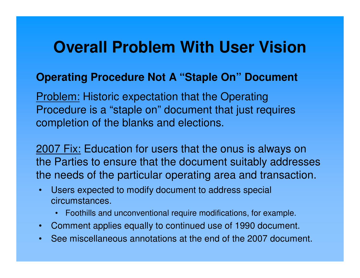# **Overall Problem With User Vision**

### **Operating Procedure Not A "Staple On" Document**

Problem: Historic expectation that the Operating Procedure is a "staple on" document that just requires completion of the blanks and elections.

2007 Fix: Education for users that the onus is always on the Parties to ensure that the document suitably addresses the needs of the particular operating area and transaction.

- • Users expected to modify document to address special circumstances.
	- Foothills and unconventional require modifications, for example.
- Comment applies equally to continued use of 1990 document.
- •See miscellaneous annotations at the end of the 2007 document.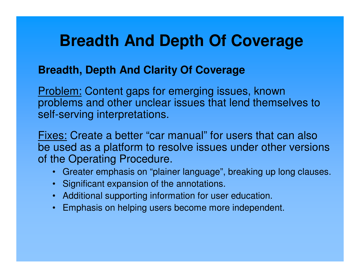# **Breadth And Depth Of Coverage**

### **Breadth, Depth And Clarity Of Coverage**

Problem: Content gaps for emerging issues, known problems and other unclear issues that lend themselves to self-serving interpretations.

Fixes: Create a better "car manual" for users that can also be used as a platform to resolve issues under other versions of the Operating Procedure.

- Greater emphasis on "plainer language", breaking up long clauses.
- Significant expansion of the annotations.
- Additional supporting information for user education.
- Emphasis on helping users become more independent.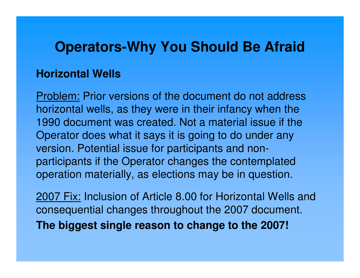#### **Horizontal Wells**

Problem: Prior versions of the document do not address horizontal wells, as they were in their infancy when the 1990 document was created. Not a material issue if the Operator does what it says it is going to do under anyversion. Potential issue for participants and nonparticipants if the Operator changes the contemplated operation materially, as elections may be in question.

2007 Fix: Inclusion of Article 8.00 for Horizontal Wells and consequential changes throughout the 2007 document. **The biggest single reason to change to the 2007!**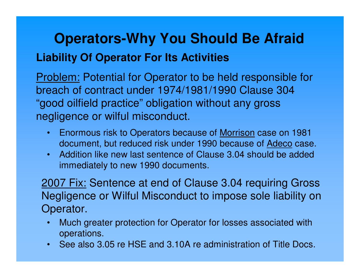## **Operators-Why You Should Be AfraidLiability Of Operator For Its Activities**

### Problem: Potential for Operator to be held responsible for breach of contract under 1974/1981/1990 Clause 304 "good oilfield practice" obligation without any gross negligence or wilful misconduct.

- • Enormous risk to Operators because of Morrison case on 1981 document, but reduced risk under 1990 because of Adeco case.
- • Addition like new last sentence of Clause 3.04 should be added immediately to new 1990 documents.

2007 Fix: Sentence at end of Clause 3.04 requiring Gross Negligence or Wilful Misconduct to impose sole liability on Operator.

- • Much greater protection for Operator for losses associated with operations.
- See also 3.05 re HSE and 3.10A re administration of Title Docs.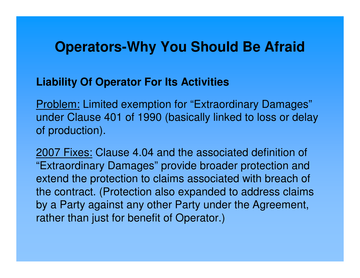#### **Liability Of Operator For Its Activities**

Problem: Limited exemption for "Extraordinary Damages"under Clause 401 of 1990 (basically linked to loss or delay of production).

2007 Fixes: Clause 4.04 and the associated definition of "Extraordinary Damages" provide broader protection and extend the protection to claims associated with breach ofthe contract. (Protection also expanded to address claims by a Party against any other Party under the Agreement, rather than just for benefit of Operator.)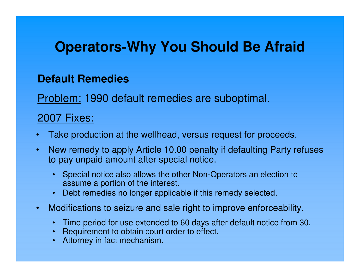### **Default Remedies**

<u>Problem:</u> 1990 default remedies are suboptimal.

#### 2007 Fixes:

- •Take production at the wellhead, versus request for proceeds.
- $\bullet$  New remedy to apply Article 10.00 penalty if defaulting Party refuses to pay unpaid amount after special notice.
	- Special notice also allows the other Non-Operators an election to assume a portion of the interest.
	- Debt remedies no longer applicable if this remedy selected.
- $\bullet$  Modifications to seizure and sale right to improve enforceability.
	- Time period for use extended to 60 days after default notice from 30.
	- Requirement to obtain court order to effect.
	- Attorney in fact mechanism.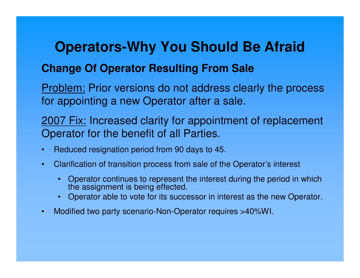#### **Change Of Operator Resulting From Sale**

Problem: Prior versions do not address clearly the process for appointing a new Operator after a sale.

2007 Fix: Increased clarity for appointment of replacement Operator for the benefit of all Parties.

- $\bullet$ Reduced resignation period from 90 days to 45.
- $\bullet$  Clarification of transition process from sale of the Operator's interest
	- • Operator continues to represent the interest during the period in which the assignment is being effected.
	- Operator able to vote for its successor in interest as the new Operator.
- •Modified two party scenario-Non-Operator requires >40%WI.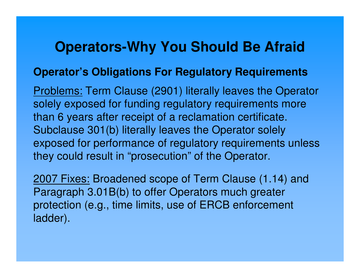#### **Operator's Obligations For Regulatory Requirements**

Problems: Term Clause (2901) literally leaves the Operator solely exposed for funding regulatory requirements more than 6 years after receipt of a reclamation certificate. Subclause 301(b) literally leaves the Operator solely exposed for performance of regulatory requirements unless they could result in "prosecution" of the Operator.

2007 Fixes: Broadened scope of Term Clause (1.14) and Paragraph 3.01B(b) to offer Operators much greater protection (e.g., time limits, use of ERCB enforcement ladder).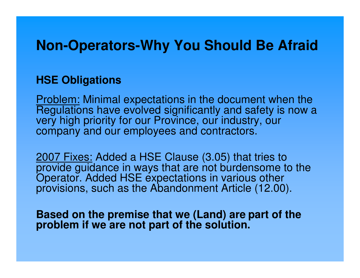#### **HSE Obligations**

Problem: Minimal expectations in the document when the Regulations have evolved significantly and safety is now a very high priority for our Province, our industry, our company and our employees and contractors.

2007 Fixes: Added a HSE Clause (3.05) that tries to provide guidance in ways that are not burdensome to the Operator. Added HSE expectations in various other provisions, such as the Abandonment Article (12.00).

**Based on the premise that we (Land) are part of the problem if we are not part of the solution.**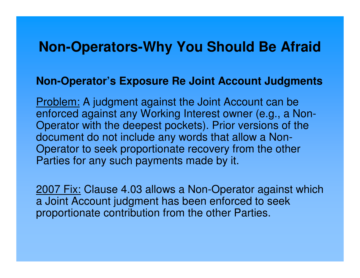#### **Non-Operator's Exposure Re Joint Account Judgments**

Problem: A judgment against the Joint Account can be enforced against any Working Interest owner (e.g., a Non-Operator with the deepest pockets). Prior versions of thedocument do not include any words that allow a Non-Operator to seek proportionate recovery from the other Parties for any such payments made by it.

2007 Fix: Clause 4.03 allows a Non-Operator against which a Joint Account judgment has been enforced to seek proportionate contribution from the other Parties.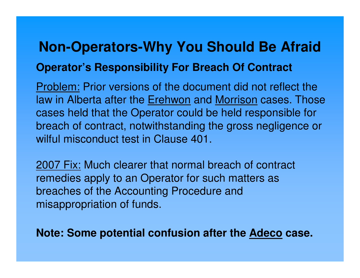# **Non-Operators-Why You Should Be AfraidOperator's Responsibility For Breach Of Contract**

<u>Problem:</u> Prior versions of the document did not reflect the law in Alberta after the Erehwon and Morrison cases. Those cases held that the Operator could be held responsible for breach of contract, notwithstanding the gross negligence or wilful misconduct test in Clause 401.

2007 Fix: Much clearer that normal breach of contract remedies apply to an Operator for such matters as breaches of the Accounting Procedure and misappropriation of funds.

**Note: Some potential confusion after the Adeco case.**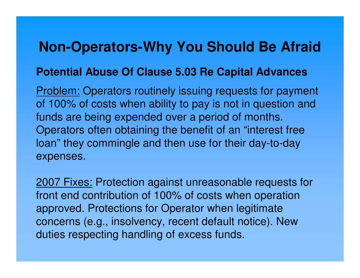#### **Potential Abuse Of Clause 5.03 Re Capital Advances**

Problem: Operators routinely issuing requests for payment of 100% of costs when ability to pay is not in question and funds are being expended over a period of months. Operators often obtaining the benefit of an "interest free loan" they commingle and then use for their day-to-dayexpenses.

2007 Fixes: Protection against unreasonable requests for front end contribution of 100% of costs when operationapproved. Protections for Operator when legitimate concerns (e.g., insolvency, recent default notice). New duties respecting handling of excess funds.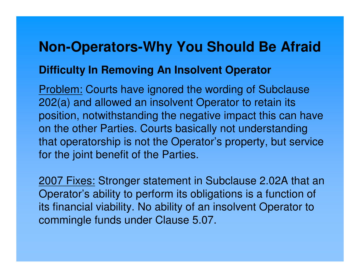# **Non-Operators-Why You Should Be AfraidDifficulty In Removing An Insolvent Operator**

Problem: Courts have ignored the wording of Subclause 202(a) and allowed an insolvent Operator to retain its position, notwithstanding the negative impact this can have on the other Parties. Courts basically not understanding that operatorship is not the Operator's property, but service for the joint benefit of the Parties.

2007 Fixes: Stronger statement in Subclause 2.02A that an Operator's ability to perform its obligations is a function of its financial viability. No ability of an insolvent Operator to commingle funds under Clause 5.07.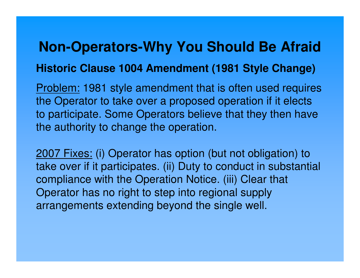# **Non-Operators-Why You Should Be AfraidHistoric Clause 1004 Amendment (1981 Style Change)**

Problem: 1981 style amendment that is often used requires the Operator to take over a proposed operation if it elects to participate. Some Operators believe that they then have the authority to change the operation.

2007 Fixes: (i) Operator has option (but not obligation) to take over if it participates. (ii) Duty to conduct in substantial compliance with the Operation Notice. (iii) Clear thatOperator has no right to step into regional supply arrangements extending beyond the single well.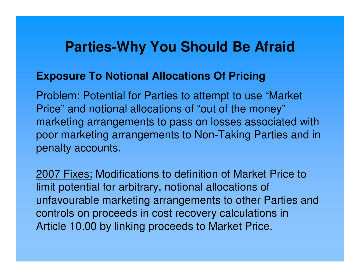#### **Exposure To Notional Allocations Of Pricing**

Problem: Potential for Parties to attempt to use "Market Price" and notional allocations of "out of the money" marketing arrangements to pass on losses associated with poor marketing arrangements to Non-Taking Parties and in penalty accounts.

2007 Fixes: Modifications to definition of Market Price to limit potential for arbitrary, notional allocations of unfavourable marketing arrangements to other Parties and controls on proceeds in cost recovery calculations in Article 10.00 by linking proceeds to Market Price.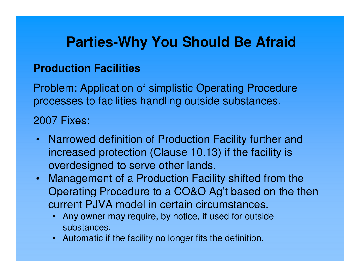### **Production Facilities**

Problem: Application of simplistic Operating Procedure processes to facilities handling outside substances.

### 2007 Fixes:

- Narrowed definition of Production Facility further and increased protection (Clause 10.13) if the facility is overdesigned to serve other lands.
- Management of a Production Facility shifted from the Operating Procedure to a CO&O Ag't based on the then current PJVA model in certain circumstances.
	- Any owner may require, by notice, if used for outside substances.
	- Automatic if the facility no longer fits the definition.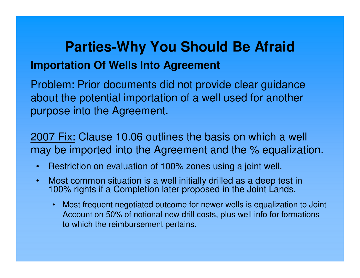## **Parties-Why You Should Be AfraidImportation Of Wells Into Agreement**

Problem: Prior documents did not provide clear guidance about the potential importation of a well used for another purpose into the Agreement.

2007 Fix: Clause 10.06 outlines the basis on which a well may be imported into the Agreement and the % equalization.

- •Restriction on evaluation of 100% zones using a joint well.
- $\bullet$  Most common situation is a well initially drilled as a deep test in 100% rights if a Completion later proposed in the Joint Lands.
	- Most frequent negotiated outcome for newer wells is equalization to Joint Account on 50% of notional new drill costs, plus well info for formations to which the reimbursement pertains.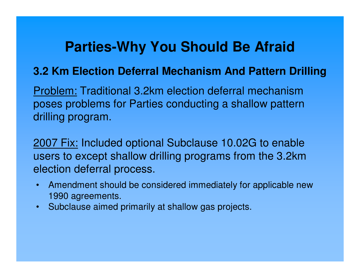#### **3.2 Km Election Deferral Mechanism And Pattern Drilling**

Problem: Traditional 3.2km election deferral mechanism poses problems for Parties conducting a shallow pattern drilling program.

2007 Fix: Included optional Subclause 10.02G to enable users to except shallow drilling programs from the 3.2km election deferral process.

- Amendment should be considered immediately for applicable new 1990 agreements.
- •Subclause aimed primarily at shallow gas projects.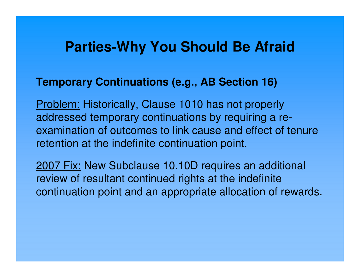#### **Temporary Continuations (e.g., AB Section 16)**

Problem: Historically, Clause 1010 has not properly addressed temporary continuations by requiring a reexamination of outcomes to link cause and effect of tenure retention at the indefinite continuation point.

2007 Fix: New Subclause 10.10D requires an additional review of resultant continued rights at the indefinite continuation point and an appropriate allocation of rewards.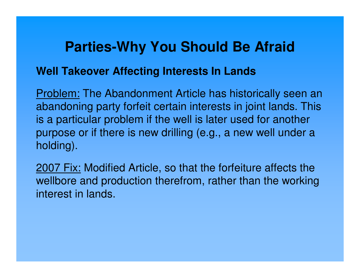#### **Well Takeover Affecting Interests In Lands**

Problem: The Abandonment Article has historically seen an abandoning party forfeit certain interests in joint lands. This is a particular problem if the well is later used for another purpose or if there is new drilling (e.g., a new well under a holding).

2007 Fix: Modified Article, so that the forfeiture affects the wellbore and production therefrom, rather than the working interest in lands.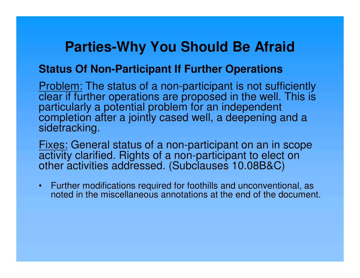#### **Status Of Non-Participant If Further Operations**

Problem: The status of a non-participant is not sufficiently clear if further operations are proposed in the well. This is particularly a potential problem for an independent completion after a jointly cased well, a deepening and a sidetracking.

Fixes: General status of a non-participant on an in scope activity clarified. Rights of a non-participant to elect on other activities addressed. (Subclauses 10.08B&C)

• Further modifications required for foothills and unconventional, as noted in the miscellaneous annotations at the end of the document.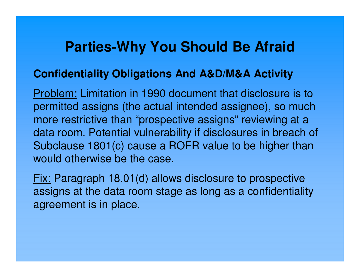### **Confidentiality Obligations And A&D/M&A Activity**

Problem: Limitation in 1990 document that disclosure is to permitted assigns (the actual intended assignee), so much more restrictive than "prospective assigns" reviewing at a data room. Potential vulnerability if disclosures in breach of Subclause 1801(c) cause a ROFR value to be higher than would otherwise be the case.

Fix: Paragraph 18.01(d) allows disclosure to prospective assigns at the data room stage as long as a confidentiality agreement is in place.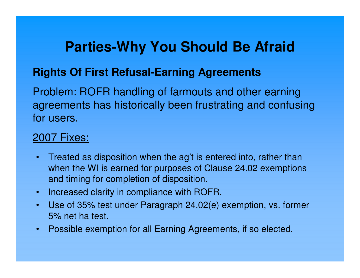### **Rights Of First Refusal-Earning Agreements**

Problem: ROFR handling of farmouts and other earning agreements has historically been frustrating and confusing for users.

### 2007 Fixes:

- Treated as disposition when the ag't is entered into, rather than when the WI is earned for purposes of Clause 24.02 exemptions and timing for completion of disposition.
- $\bullet$ Increased clarity in compliance with ROFR.
- $\bullet$  Use of 35% test under Paragraph 24.02(e) exemption, vs. former 5% net ha test.
- $\bullet$ Possible exemption for all Earning Agreements, if so elected.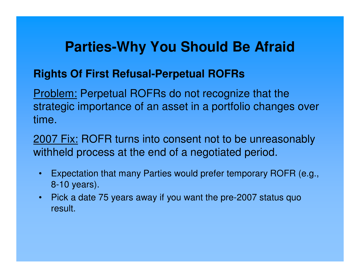### **Rights Of First Refusal-Perpetual ROFRs**

Problem: Perpetual ROFRs do not recognize that the strategic importance of an asset in a portfolio changes over time.

2007 Fix: ROFR turns into consent not to be unreasonably withheld process at the end of a negotiated period.

- • Expectation that many Parties would prefer temporary ROFR (e.g., 8-10 years).
- • Pick a date 75 years away if you want the pre-2007 status quo result.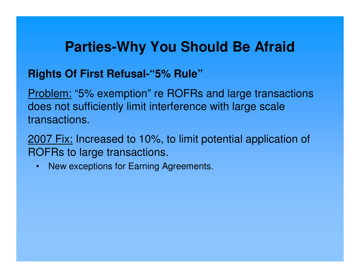### **Rights Of First Refusal-"5% Rule"**

Problem: "5% exemption" re ROFRs and large transactions does not sufficiently limit interference with large scaletransactions.

2007 Fix: Increased to 10%, to limit potential application of ROFRs to large transactions.

• New exceptions for Earning Agreements.